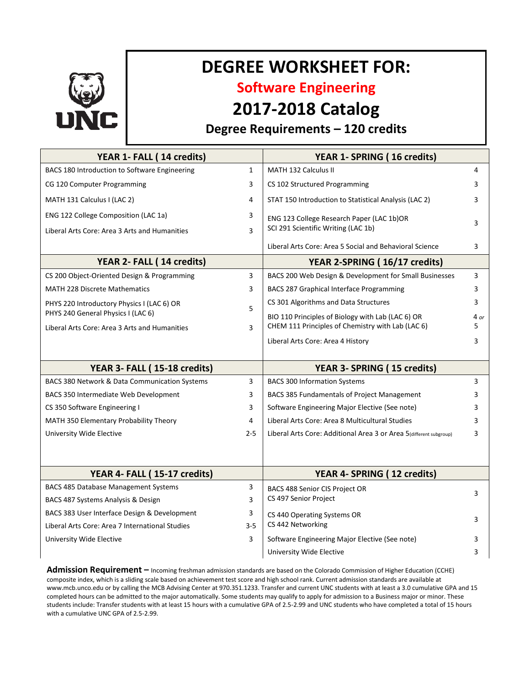

# **DEGREE WORKSHEET FOR:**

**Software Engineering**

## **2017-2018 Catalog**

### **Degree Requirements – 120 credits**

| YEAR 1- FALL (14 credits)                       |              | YEAR 1- SPRING (16 credits)                                                      |      |
|-------------------------------------------------|--------------|----------------------------------------------------------------------------------|------|
| BACS 180 Introduction to Software Engineering   | $\mathbf{1}$ | MATH 132 Calculus II                                                             | 4    |
| CG 120 Computer Programming                     | 3            | CS 102 Structured Programming                                                    | 3    |
| MATH 131 Calculus I (LAC 2)                     | 4            | STAT 150 Introduction to Statistical Analysis (LAC 2)                            | 3    |
| ENG 122 College Composition (LAC 1a)            | 3            | ENG 123 College Research Paper (LAC 1b)OR<br>SCI 291 Scientific Writing (LAC 1b) | 3    |
| Liberal Arts Core: Area 3 Arts and Humanities   | 3            |                                                                                  |      |
|                                                 |              | Liberal Arts Core: Area 5 Social and Behavioral Science                          | 3    |
| YEAR 2- FALL (14 credits)                       |              | YEAR 2-SPRING (16/17 credits)                                                    |      |
| CS 200 Object-Oriented Design & Programming     | 3            | BACS 200 Web Design & Development for Small Businesses                           | 3    |
| <b>MATH 228 Discrete Mathematics</b>            | 3            | <b>BACS 287 Graphical Interface Programming</b>                                  | 3    |
| PHYS 220 Introductory Physics I (LAC 6) OR      | 5            | CS 301 Algorithms and Data Structures                                            | 3    |
| PHYS 240 General Physics I (LAC 6)              |              | BIO 110 Principles of Biology with Lab (LAC 6) OR                                | 4 or |
| Liberal Arts Core: Area 3 Arts and Humanities   | 3            | CHEM 111 Principles of Chemistry with Lab (LAC 6)                                | 5    |
|                                                 |              | Liberal Arts Core: Area 4 History                                                | 3    |
|                                                 |              |                                                                                  |      |
| YEAR 3- FALL (15-18 credits)                    |              | YEAR 3- SPRING (15 credits)                                                      |      |
| BACS 380 Network & Data Communication Systems   | 3            | <b>BACS 300 Information Systems</b>                                              | 3    |
| BACS 350 Intermediate Web Development           | 3            | BACS 385 Fundamentals of Project Management                                      | 3    |
| CS 350 Software Engineering I                   | 3            | Software Engineering Major Elective (See note)                                   | 3    |
| MATH 350 Elementary Probability Theory          | 4            | Liberal Arts Core: Area 8 Multicultural Studies                                  | 3    |
| University Wide Elective                        | $2 - 5$      | Liberal Arts Core: Additional Area 3 or Area 5(different subgroup)               | 3    |
|                                                 |              |                                                                                  |      |
|                                                 |              |                                                                                  |      |
| YEAR 4- FALL (15-17 credits)                    |              | YEAR 4- SPRING (12 credits)                                                      |      |
| <b>BACS 485 Database Management Systems</b>     | 3            | <b>BACS 488 Senior CIS Project OR</b><br>CS 497 Senior Project                   | 3    |
| BACS 487 Systems Analysis & Design              | 3            |                                                                                  |      |
| BACS 383 User Interface Design & Development    | 3            | CS 440 Operating Systems OR                                                      | 3    |
| Liberal Arts Core: Area 7 International Studies | $3 - 5$      | CS 442 Networking                                                                |      |
| University Wide Elective                        | 3            | Software Engineering Major Elective (See note)                                   | 3    |
|                                                 |              | University Wide Elective                                                         | 3    |

**Admission Requirement –** Incoming freshman admission standards are based on the Colorado Commission of Higher Education (CCHE) composite index, which is a sliding scale based on achievement test score and high school rank. Current admission standards are available at www.mcb.unco.edu or by calling the MCB Advising Center at 970.351.1233. Transfer and current UNC students with at least a 3.0 cumulative GPA and 15 completed hours can be admitted to the major automatically. Some students may qualify to apply for admission to a Business major or minor. These students include: Transfer students with at least 15 hours with a cumulative GPA of 2.5-2.99 and UNC students who have completed a total of 15 hours with a cumulative UNC GPA of 2.5-2.99.